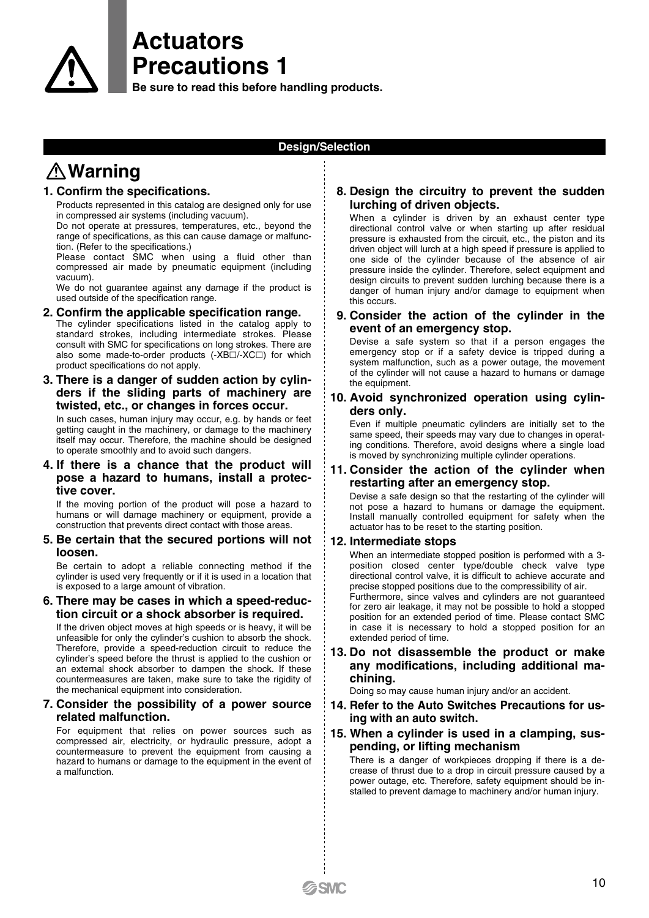# **Actuators Precautions 1**

**Be sure to read this before handling products.**

### **Design/Selection**

# **Warning**

### **1. Confirm the specifications.**

Products represented in this catalog are designed only for use in compressed air systems (including vacuum).

Do not operate at pressures, temperatures, etc., beyond the range of specifications, as this can cause damage or malfunction. (Refer to the specifications.)

Please contact SMC when using a fluid other than compressed air made by pneumatic equipment (including vacuum).

We do not guarantee against any damage if the product is used outside of the specification range.

- **2. Confirm the applicable specification range.** The cylinder specifications listed in the catalog apply to standard strokes, including intermediate strokes. Please consult with SMC for specifications on long strokes. There are also some made-to-order products (-XB $\Box$ /-XC $\Box$ ) for which product specifications do not apply.
- **3. There is a danger of sudden action by cylinders if the sliding parts of machinery are twisted, etc., or changes in forces occur.**

In such cases, human injury may occur, e.g. by hands or feet getting caught in the machinery, or damage to the machinery itself may occur. Therefore, the machine should be designed to operate smoothly and to avoid such dangers.

### **4. If there is a chance that the product will pose a hazard to humans, install a protective cover.**

If the moving portion of the product will pose a hazard to humans or will damage machinery or equipment, provide a construction that prevents direct contact with those areas.

### **5. Be certain that the secured portions will not loosen.**

Be certain to adopt a reliable connecting method if the cylinder is used very frequently or if it is used in a location that is exposed to a large amount of vibration.

### **6. There may be cases in which a speed-reduction circuit or a shock absorber is required.**

If the driven object moves at high speeds or is heavy, it will be unfeasible for only the cylinder's cushion to absorb the shock. Therefore, provide a speed-reduction circuit to reduce the cylinder's speed before the thrust is applied to the cushion or an external shock absorber to dampen the shock. If these countermeasures are taken, make sure to take the rigidity of the mechanical equipment into consideration.

### **7. Consider the possibility of a power source related malfunction.**

For equipment that relies on power sources such as compressed air, electricity, or hydraulic pressure, adopt a countermeasure to prevent the equipment from causing a hazard to humans or damage to the equipment in the event of a malfunction.

### **8. Design the circuitry to prevent the sudden lurching of driven objects.**

When a cylinder is driven by an exhaust center type directional control valve or when starting up after residual pressure is exhausted from the circuit, etc., the piston and its driven object will lurch at a high speed if pressure is applied to one side of the cylinder because of the absence of air pressure inside the cylinder. Therefore, select equipment and design circuits to prevent sudden lurching because there is a danger of human injury and/or damage to equipment when this occurs.

### **9. Consider the action of the cylinder in the event of an emergency stop.**

Devise a safe system so that if a person engages the emergency stop or if a safety device is tripped during a system malfunction, such as a power outage, the movement of the cylinder will not cause a hazard to humans or damage the equipment.

### **10. Avoid synchronized operation using cylinders only.**

Even if multiple pneumatic cylinders are initially set to the same speed, their speeds may vary due to changes in operating conditions. Therefore, avoid designs where a single load is moved by synchronizing multiple cylinder operations.

### **11. Consider the action of the cylinder when restarting after an emergency stop.**

Devise a safe design so that the restarting of the cylinder will not pose a hazard to humans or damage the equipment. Install manually controlled equipment for safety when the actuator has to be reset to the starting position.

### **12. Intermediate stops**

When an intermediate stopped position is performed with a 3 position closed center type/double check valve type directional control valve, it is difficult to achieve accurate and precise stopped positions due to the compressibility of air.

Furthermore, since valves and cylinders are not guaranteed for zero air leakage, it may not be possible to hold a stopped position for an extended period of time. Please contact SMC in case it is necessary to hold a stopped position for an extended period of time.

**13. Do not disassemble the product or make any modifications, including additional machining.**

Doing so may cause human injury and/or an accident.

- **14. Refer to the Auto Switches Precautions for using with an auto switch.**
- **15. When a cylinder is used in a clamping, suspending, or lifting mechanism**

There is a danger of workpieces dropping if there is a decrease of thrust due to a drop in circuit pressure caused by a power outage, etc. Therefore, safety equipment should be installed to prevent damage to machinery and/or human injury.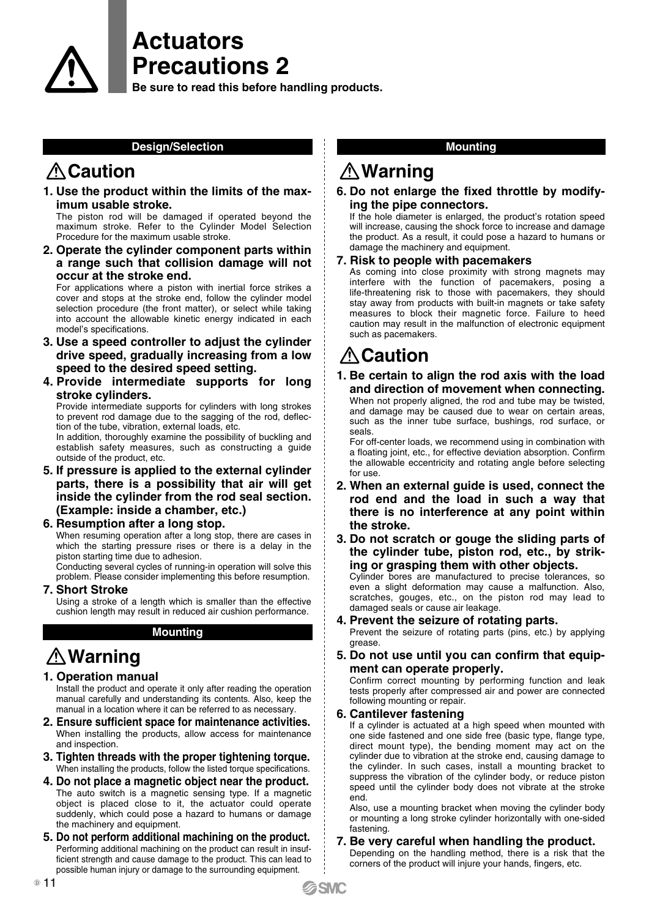# **Actuators Precautions 2**

**Be sure to read this before handling products.**

### **Design/Selection**

## **Caution**

**1. Use the product within the limits of the maximum usable stroke.**

The piston rod will be damaged if operated beyond the maximum stroke. Refer to the Cylinder Model Selection Procedure for the maximum usable stroke.

**2. Operate the cylinder component parts within a range such that collision damage will not occur at the stroke end.**

For applications where a piston with inertial force strikes a cover and stops at the stroke end, follow the cylinder model selection procedure (the front matter), or select while taking into account the allowable kinetic energy indicated in each model's specifications.

- **3. Use a speed controller to adjust the cylinder drive speed, gradually increasing from a low speed to the desired speed setting.**
- **4. Provide intermediate supports for long stroke cylinders.**

Provide intermediate supports for cylinders with long strokes to prevent rod damage due to the sagging of the rod, deflection of the tube, vibration, external loads, etc.

In addition, thoroughly examine the possibility of buckling and establish safety measures, such as constructing a guide outside of the product, etc.

**5. If pressure is applied to the external cylinder parts, there is a possibility that air will get inside the cylinder from the rod seal section. (Example: inside a chamber, etc.)**

### **6. Resumption after a long stop.**

When resuming operation after a long stop, there are cases in which the starting pressure rises or there is a delay in the piston starting time due to adhesion.

Conducting several cycles of running-in operation will solve this problem. Please consider implementing this before resumption.

**7. Short Stroke**

Using a stroke of a length which is smaller than the effective cushion length may result in reduced air cushion performance.

### **Mounting**

# **Warning**

**1. Operation manual**

Install the product and operate it only after reading the operation manual carefully and understanding its contents. Also, keep the manual in a location where it can be referred to as necessary.

- **2. Ensure sufficient space for maintenance activities.** When installing the products, allow access for maintenance and inspection.
- **3. Tighten threads with the proper tightening torque.** When installing the products, follow the listed torque specifications.
- **4. Do not place a magnetic object near the product.** The auto switch is a magnetic sensing type. If a magnetic object is placed close to it, the actuator could operate suddenly, which could pose a hazard to humans or damage the machinery and equipment.
- **5. Do not perform additional machining on the product.** Performing additional machining on the product can result in insufficient strength and cause damage to the product. This can lead to possible human injury or damage to the surrounding equipment.

### **Mounting**

### **Warning**

**6. Do not enlarge the fixed throttle by modifying the pipe connectors.**

If the hole diameter is enlarged, the product's rotation speed will increase, causing the shock force to increase and damage the product. As a result, it could pose a hazard to humans or damage the machinery and equipment.

### **7. Risk to people with pacemakers**

As coming into close proximity with strong magnets may interfere with the function of pacemakers, posing a life-threatening risk to those with pacemakers, they should stay away from products with built-in magnets or take safety measures to block their magnetic force. Failure to heed caution may result in the malfunction of electronic equipment such as pacemakers.

# **Caution**

**1. Be certain to align the rod axis with the load and direction of movement when connecting.** When not properly aligned, the rod and tube may be twisted, and damage may be caused due to wear on certain areas, such as the inner tube surface, bushings, rod surface, or

seals. For off-center loads, we recommend using in combination with a floating joint, etc., for effective deviation absorption. Confirm the allowable eccentricity and rotating angle before selecting

- for use. **2. When an external guide is used, connect the rod end and the load in such a way that there is no interference at any point within the stroke.**
- **3. Do not scratch or gouge the sliding parts of the cylinder tube, piston rod, etc., by striking or grasping them with other objects.**

Cylinder bores are manufactured to precise tolerances, so even a slight deformation may cause a malfunction. Also, scratches, gouges, etc., on the piston rod may lead to damaged seals or cause air leakage.

### **4. Prevent the seizure of rotating parts.**

Prevent the seizure of rotating parts (pins, etc.) by applying grease.

**5. Do not use until you can confirm that equipment can operate properly.**

Confirm correct mounting by performing function and leak tests properly after compressed air and power are connected following mounting or repair.

### **6. Cantilever fastening**

If a cylinder is actuated at a high speed when mounted with one side fastened and one side free (basic type, flange type, direct mount type), the bending moment may act on the cylinder due to vibration at the stroke end, causing damage to the cylinder. In such cases, install a mounting bracket to suppress the vibration of the cylinder body, or reduce piston speed until the cylinder body does not vibrate at the stroke end.

Also, use a mounting bracket when moving the cylinder body or mounting a long stroke cylinder horizontally with one-sided fastening.

# **7. Be very careful when handling the product.**

Depending on the handling method, there is a risk that the corners of the product will injure your hands, fingers, etc.

**SMC**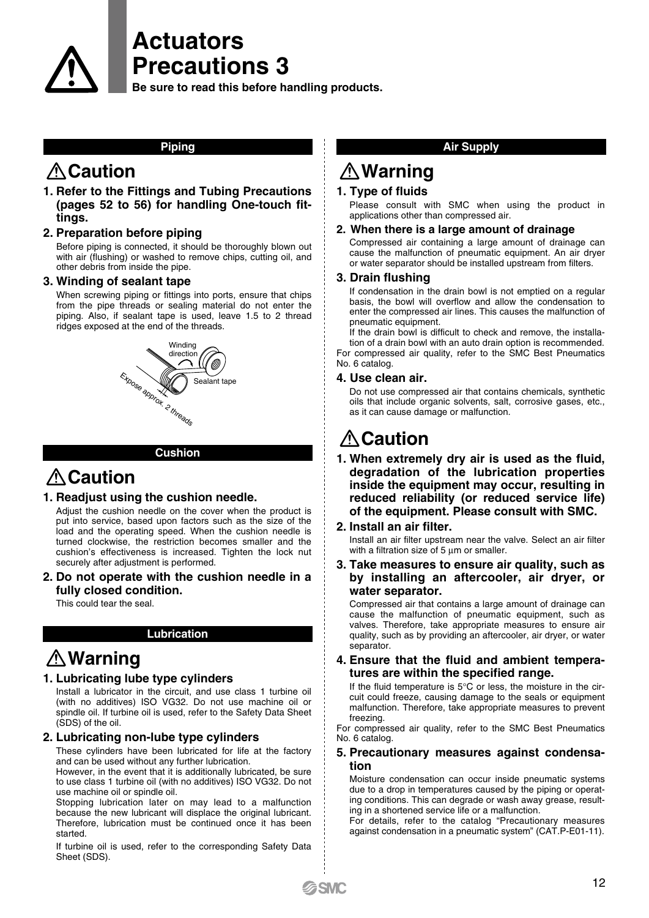**Precautions 3 Be sure to read this before handling products.**

#### **Piping**

**Actuators**

### **Caution**

**1. Refer to the Fittings and Tubing Precautions (pages 52 to 56) for handling One-touch fittings.**

**2. Preparation before piping**

Before piping is connected, it should be thoroughly blown out with air (flushing) or washed to remove chips, cutting oil, and other debris from inside the pipe.

#### **3. Winding of sealant tape**

When screwing piping or fittings into ports, ensure that chips from the pipe threads or sealing material do not enter the piping. Also, if sealant tape is used, leave 1.5 to 2 thread ridges exposed at the end of the threads.



#### **Cushion**

### **Caution**

#### **1. Readjust using the cushion needle.**

Adjust the cushion needle on the cover when the product is put into service, based upon factors such as the size of the load and the operating speed. When the cushion needle is turned clockwise, the restriction becomes smaller and the cushion's effectiveness is increased. Tighten the lock nut securely after adjustment is performed.

**2. Do not operate with the cushion needle in a fully closed condition.**

This could tear the seal.

### **Lubrication**

### **Warning**

### **1. Lubricating lube type cylinders**

Install a lubricator in the circuit, and use class 1 turbine oil (with no additives) ISO VG32. Do not use machine oil or spindle oil. If turbine oil is used, refer to the Safety Data Sheet (SDS) of the oil.

### **2. Lubricating non-lube type cylinders**

These cylinders have been lubricated for life at the factory and can be used without any further lubrication.

However, in the event that it is additionally lubricated, be sure to use class 1 turbine oil (with no additives) ISO VG32. Do not use machine oil or spindle oil.

Stopping lubrication later on may lead to a malfunction because the new lubricant will displace the original lubricant. Therefore, lubrication must be continued once it has been started.

If turbine oil is used, refer to the corresponding Safety Data Sheet (SDS).

### **Air Supply**

## **Warning**

### **1. Type of fluids**

Please consult with SMC when using the product in applications other than compressed air.

### **2. When there is a large amount of drainage**

Compressed air containing a large amount of drainage can cause the malfunction of pneumatic equipment. An air dryer or water separator should be installed upstream from filters.

#### **3. Drain flushing**

If condensation in the drain bowl is not emptied on a regular basis, the bowl will overflow and allow the condensation to enter the compressed air lines. This causes the malfunction of pneumatic equipment.

If the drain bowl is difficult to check and remove, the installation of a drain bowl with an auto drain option is recommended. For compressed air quality, refer to the SMC Best Pneumatics No. 6 catalog.

#### **4. Use clean air.**

Do not use compressed air that contains chemicals, synthetic oils that include organic solvents, salt, corrosive gases, etc., as it can cause damage or malfunction.

## **A** Caution

- **1. When extremely dry air is used as the fluid, degradation of the lubrication properties inside the equipment may occur, resulting in reduced reliability (or reduced service life) of the equipment. Please consult with SMC.**
- **2. Install an air filter.**

Install an air filter upstream near the valve. Select an air filter with a filtration size of 5 um or smaller.

**3. Take measures to ensure air quality, such as by installing an aftercooler, air dryer, or water separator.**

Compressed air that contains a large amount of drainage can cause the malfunction of pneumatic equipment, such as valves. Therefore, take appropriate measures to ensure air quality, such as by providing an aftercooler, air dryer, or water separator.

### **4. Ensure that the fluid and ambient temperatures are within the specified range.**

If the fluid temperature is  $5^{\circ}$ C or less, the moisture in the circuit could freeze, causing damage to the seals or equipment malfunction. Therefore, take appropriate measures to prevent freezing.

For compressed air quality, refer to the SMC Best Pneumatics No. 6 catalog.

#### **5. Precautionary measures against condensation**

Moisture condensation can occur inside pneumatic systems due to a drop in temperatures caused by the piping or operating conditions. This can degrade or wash away grease, resulting in a shortened service life or a malfunction.

For details, refer to the catalog "Precautionary measures against condensation in a pneumatic system" (CAT.P-E01-11).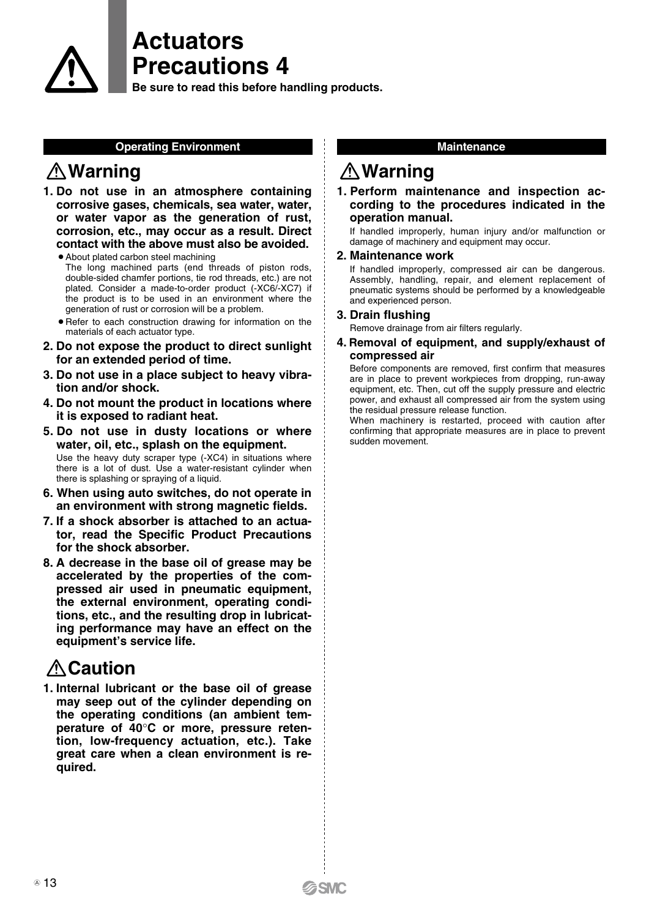

## **Actuators Precautions 4**

**Be sure to read this before handling products.**

### **Operating Environment**

## **Warning**

- **1. Do not use in an atmosphere containing corrosive gases, chemicals, sea water, water, or water vapor as the generation of rust, corrosion, etc., may occur as a result. Direct contact with the above must also be avoided.**
	- About plated carbon steel machining
	- The long machined parts (end threads of piston rods, double-sided chamfer portions, tie rod threads, etc.) are not plated. Consider a made-to-order product (-XC6/-XC7) if the product is to be used in an environment where the generation of rust or corrosion will be a problem.
	- Refer to each construction drawing for information on the materials of each actuator type.
- **2. Do not expose the product to direct sunlight for an extended period of time.**
- **3. Do not use in a place subject to heavy vibration and/or shock.**
- **4. Do not mount the product in locations where it is exposed to radiant heat.**
- **5. Do not use in dusty locations or where water, oil, etc., splash on the equipment.** Use the heavy duty scraper type (-XC4) in situations where there is a lot of dust. Use a water-resistant cylinder when there is splashing or spraying of a liquid.
- **6. When using auto switches, do not operate in an environment with strong magnetic fields.**
- **7. If a shock absorber is attached to an actuator, read the Specific Product Precautions for the shock absorber.**
- **8. A decrease in the base oil of grease may be accelerated by the properties of the compressed air used in pneumatic equipment, the external environment, operating conditions, etc., and the resulting drop in lubricating performance may have an effect on the equipment's service life.**

# *A* Caution

**1. Internal lubricant or the base oil of grease may seep out of the cylinder depending on the operating conditions (an ambient temperature of 40**°**C or more, pressure retention, low-frequency actuation, etc.). Take great care when a clean environment is required.**

### **Maintenance**

### **Warning**

### **1. Perform maintenance and inspection according to the procedures indicated in the operation manual.**

If handled improperly, human injury and/or malfunction or damage of machinery and equipment may occur.

### **2. Maintenance work**

If handled improperly, compressed air can be dangerous. Assembly, handling, repair, and element replacement of pneumatic systems should be performed by a knowledgeable and experienced person.

### **3. Drain flushing**

Remove drainage from air filters regularly.

### **4. Removal of equipment, and supply/exhaust of compressed air**

Before components are removed, first confirm that measures are in place to prevent workpieces from dropping, run-away equipment, etc. Then, cut off the supply pressure and electric power, and exhaust all compressed air from the system using the residual pressure release function.

When machinery is restarted, proceed with caution after confirming that appropriate measures are in place to prevent sudden movement.